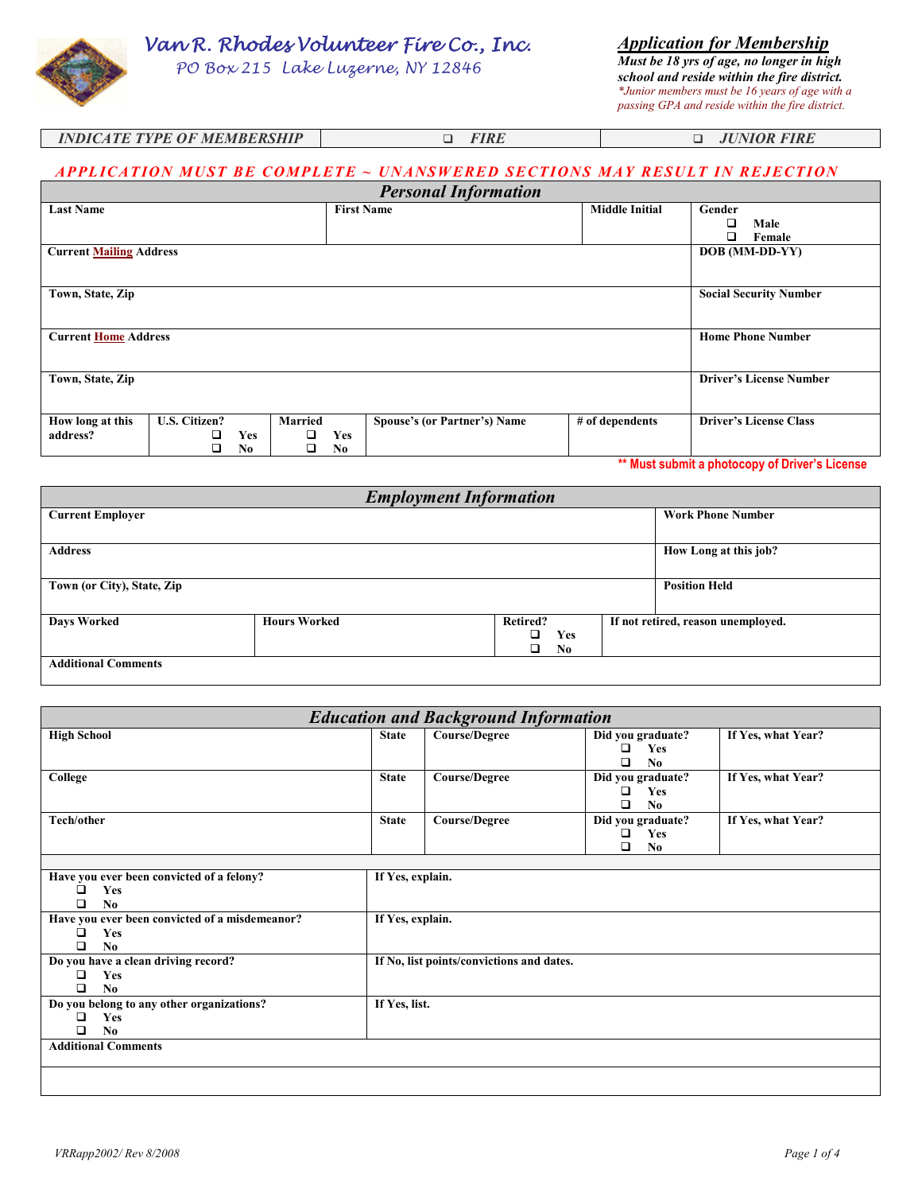Van R. Rhodes Volunteer Fire Co., Inc.

PO Box 215 Lake Luzerne, NY 12846

*Application for Membership Must be 18 yrs of age, no longer in high school and reside within the fire district. \*Junior members must be 16 years of age with a passing GPA and reside within the fire district.*

|                             |             | <i>passing GPA and reside within the fire di</i> |
|-----------------------------|-------------|--------------------------------------------------|
| INDICATE TVPE OF MEMRERCHIP | <i>EIPI</i> | <b>HINIOR FIRE</b>                               |

| <i>INDICATE TYPE OF MEMBERSHIP</i> | <i>FIKE</i> | U JUNIOK FIKE |
|------------------------------------|-------------|---------------|
|                                    |             |               |

## APPLICATION MUST BE COMPLETE ~ UNANSWERED SECTIONS MAY RESULT IN REJECTION

|                                |                      |                |                |                   | <b>Personal Information</b>         |                       |                               |
|--------------------------------|----------------------|----------------|----------------|-------------------|-------------------------------------|-----------------------|-------------------------------|
| <b>Last Name</b>               |                      |                |                | <b>First Name</b> |                                     | <b>Middle Initial</b> | Gender                        |
|                                |                      |                |                |                   |                                     |                       | □<br>Male                     |
|                                |                      |                |                |                   |                                     |                       | □<br>Female                   |
| <b>Current Mailing Address</b> |                      |                |                |                   |                                     |                       | DOB (MM-DD-YY)                |
|                                |                      |                |                |                   |                                     |                       |                               |
| Town, State, Zip               |                      |                |                |                   |                                     |                       | <b>Social Security Number</b> |
|                                |                      |                |                |                   |                                     |                       |                               |
| <b>Current Home Address</b>    |                      |                |                |                   |                                     |                       | <b>Home Phone Number</b>      |
|                                |                      |                |                |                   |                                     |                       |                               |
|                                |                      |                |                |                   |                                     |                       |                               |
| Town, State, Zip               |                      |                |                |                   | <b>Driver's License Number</b>      |                       |                               |
|                                |                      |                |                |                   |                                     |                       |                               |
| How long at this               | <b>U.S. Citizen?</b> |                | <b>Married</b> |                   | <b>Spouse's (or Partner's) Name</b> | # of dependents       | <b>Driver's License Class</b> |
| address?                       |                      | <b>Yes</b>     |                | <b>Yes</b>        |                                     |                       |                               |
|                                |                      | N <sub>0</sub> |                | N <sub>0</sub>    |                                     |                       |                               |

**\*\* Must submit a photocopy of Driver's License** 

|                            |                     | <b>Employment Information</b> |            |                                    |
|----------------------------|---------------------|-------------------------------|------------|------------------------------------|
| <b>Current Employer</b>    |                     |                               |            | <b>Work Phone Number</b>           |
|                            |                     |                               |            |                                    |
| <b>Address</b>             |                     |                               |            | How Long at this job?              |
|                            |                     |                               |            |                                    |
| Town (or City), State, Zip |                     | <b>Position Held</b>          |            |                                    |
|                            |                     |                               |            |                                    |
| <b>Days Worked</b>         | <b>Hours Worked</b> | Retired?                      |            | If not retired, reason unemployed. |
|                            |                     | o.                            | <b>Yes</b> |                                    |
|                            |                     | o.                            | No         |                                    |
| <b>Additional Comments</b> |                     |                               |            |                                    |
|                            |                     |                               |            |                                    |

| <b>Education and Background Information</b>                                       |                  |                                           |                                                      |                    |
|-----------------------------------------------------------------------------------|------------------|-------------------------------------------|------------------------------------------------------|--------------------|
| <b>High School</b>                                                                | <b>State</b>     | <b>Course/Degree</b>                      | Did you graduate?<br>Yes<br>□<br>No<br>ר             | If Yes, what Year? |
| College                                                                           | <b>State</b>     | <b>Course/Degree</b>                      | Did you graduate?<br>□<br>Yes<br>N <sub>0</sub><br>n | If Yes, what Year? |
| Tech/other                                                                        | <b>State</b>     | <b>Course/Degree</b>                      | Did you graduate?<br>□<br>Yes<br>◻<br>N <sub>0</sub> | If Yes, what Year? |
| Have you ever been convicted of a felony?<br>□<br>Yes<br>□<br>No                  | If Yes, explain. |                                           |                                                      |                    |
| Have you ever been convicted of a misdemeanor?<br>□<br>Yes<br>□<br>N <sub>0</sub> | If Yes, explain. |                                           |                                                      |                    |
| Do you have a clean driving record?<br>Yes<br>❏<br>N <sub>0</sub><br>□            |                  | If No, list points/convictions and dates. |                                                      |                    |
| Do you belong to any other organizations?<br>Yes<br>❏<br>No.<br>□                 | If Yes, list.    |                                           |                                                      |                    |
| <b>Additional Comments</b>                                                        |                  |                                           |                                                      |                    |
|                                                                                   |                  |                                           |                                                      |                    |

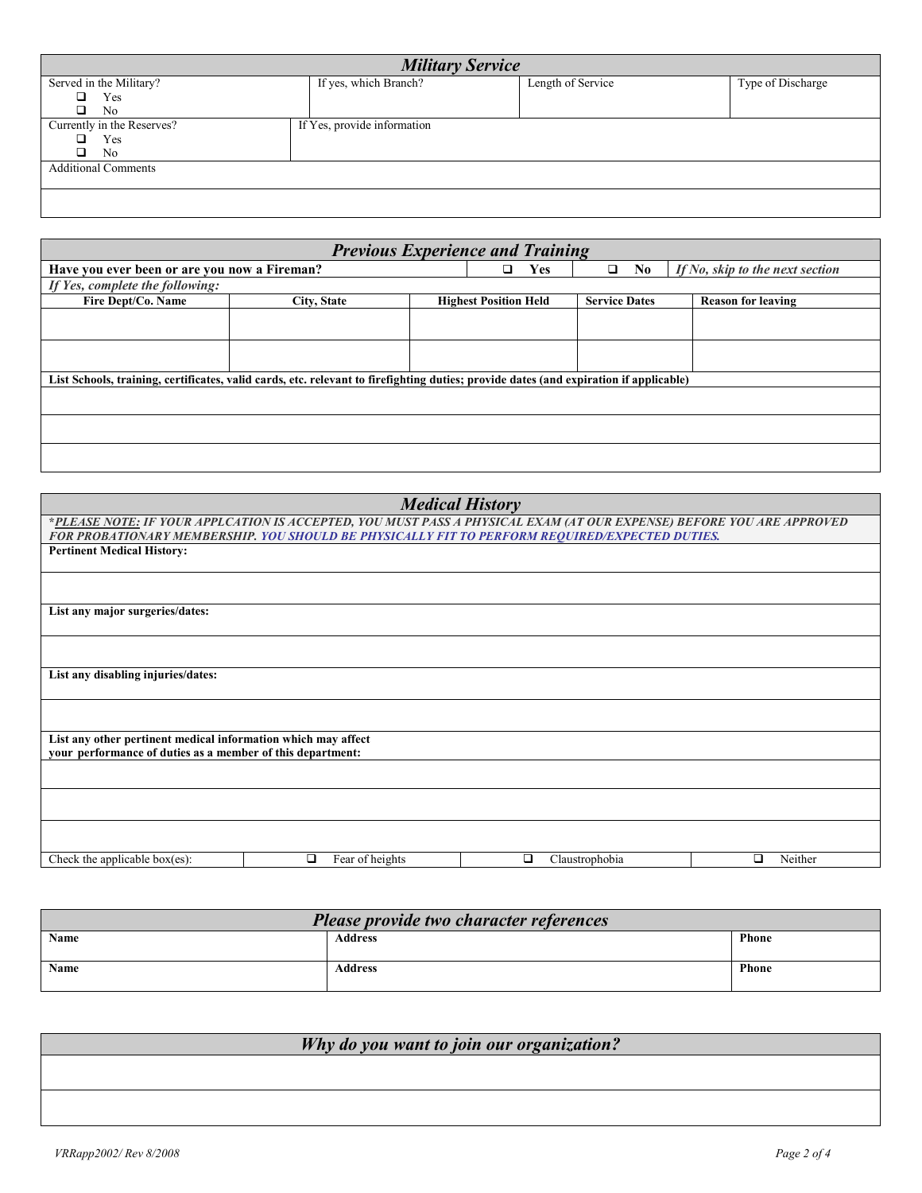| <b>Military Service</b>    |                             |                   |                   |  |  |
|----------------------------|-----------------------------|-------------------|-------------------|--|--|
| Served in the Military?    | If yes, which Branch?       | Length of Service | Type of Discharge |  |  |
| ▫<br>Yes                   |                             |                   |                   |  |  |
| ▫<br>No                    |                             |                   |                   |  |  |
| Currently in the Reserves? | If Yes, provide information |                   |                   |  |  |
| Yes                        |                             |                   |                   |  |  |
| ◻<br>No.                   |                             |                   |                   |  |  |
| <b>Additional Comments</b> |                             |                   |                   |  |  |
|                            |                             |                   |                   |  |  |
|                            |                             |                   |                   |  |  |
|                            |                             |                   |                   |  |  |

| <b>Previous Experience and Training</b>                                                                                               |             |  |                              |                      |                                 |
|---------------------------------------------------------------------------------------------------------------------------------------|-------------|--|------------------------------|----------------------|---------------------------------|
| Have you ever been or are you now a Fireman?                                                                                          |             |  | <b>Yes</b><br>□              | No.<br>□             | If No, skip to the next section |
| If Yes, complete the following:                                                                                                       |             |  |                              |                      |                                 |
| Fire Dept/Co. Name                                                                                                                    | City, State |  | <b>Highest Position Held</b> | <b>Service Dates</b> | <b>Reason for leaving</b>       |
|                                                                                                                                       |             |  |                              |                      |                                 |
|                                                                                                                                       |             |  |                              |                      |                                 |
| List Schools, training, certificates, valid cards, etc. relevant to firefighting duties; provide dates (and expiration if applicable) |             |  |                              |                      |                                 |
|                                                                                                                                       |             |  |                              |                      |                                 |
|                                                                                                                                       |             |  |                              |                      |                                 |
|                                                                                                                                       |             |  |                              |                      |                                 |

|                                                                                                                             |                      | <b>Medical History</b>                                                                                               |              |
|-----------------------------------------------------------------------------------------------------------------------------|----------------------|----------------------------------------------------------------------------------------------------------------------|--------------|
|                                                                                                                             |                      | *PLEASE NOTE: IF YOUR APPLCATION IS ACCEPTED, YOU MUST PASS A PHYSICAL EXAM (AT OUR EXPENSE) BEFORE YOU ARE APPROVED |              |
|                                                                                                                             |                      | FOR PROBATIONARY MEMBERSHIP. YOU SHOULD BE PHYSICALLY FIT TO PERFORM REQUIRED/EXPECTED DUTIES.                       |              |
| <b>Pertinent Medical History:</b>                                                                                           |                      |                                                                                                                      |              |
|                                                                                                                             |                      |                                                                                                                      |              |
| List any major surgeries/dates:                                                                                             |                      |                                                                                                                      |              |
|                                                                                                                             |                      |                                                                                                                      |              |
| List any disabling injuries/dates:                                                                                          |                      |                                                                                                                      |              |
|                                                                                                                             |                      |                                                                                                                      |              |
| List any other pertinent medical information which may affect<br>your performance of duties as a member of this department: |                      |                                                                                                                      |              |
|                                                                                                                             |                      |                                                                                                                      |              |
|                                                                                                                             |                      |                                                                                                                      |              |
|                                                                                                                             |                      |                                                                                                                      |              |
| Check the applicable box $(es)$ :                                                                                           | Fear of heights<br>◻ | ◻<br>Claustrophobia                                                                                                  | Neither<br>□ |

| Please provide two character references |                |              |  |
|-----------------------------------------|----------------|--------------|--|
| Name                                    | Address        | <b>Phone</b> |  |
|                                         |                |              |  |
| Name                                    | <b>Address</b> | <b>Phone</b> |  |

*Why do you want to join our organization?*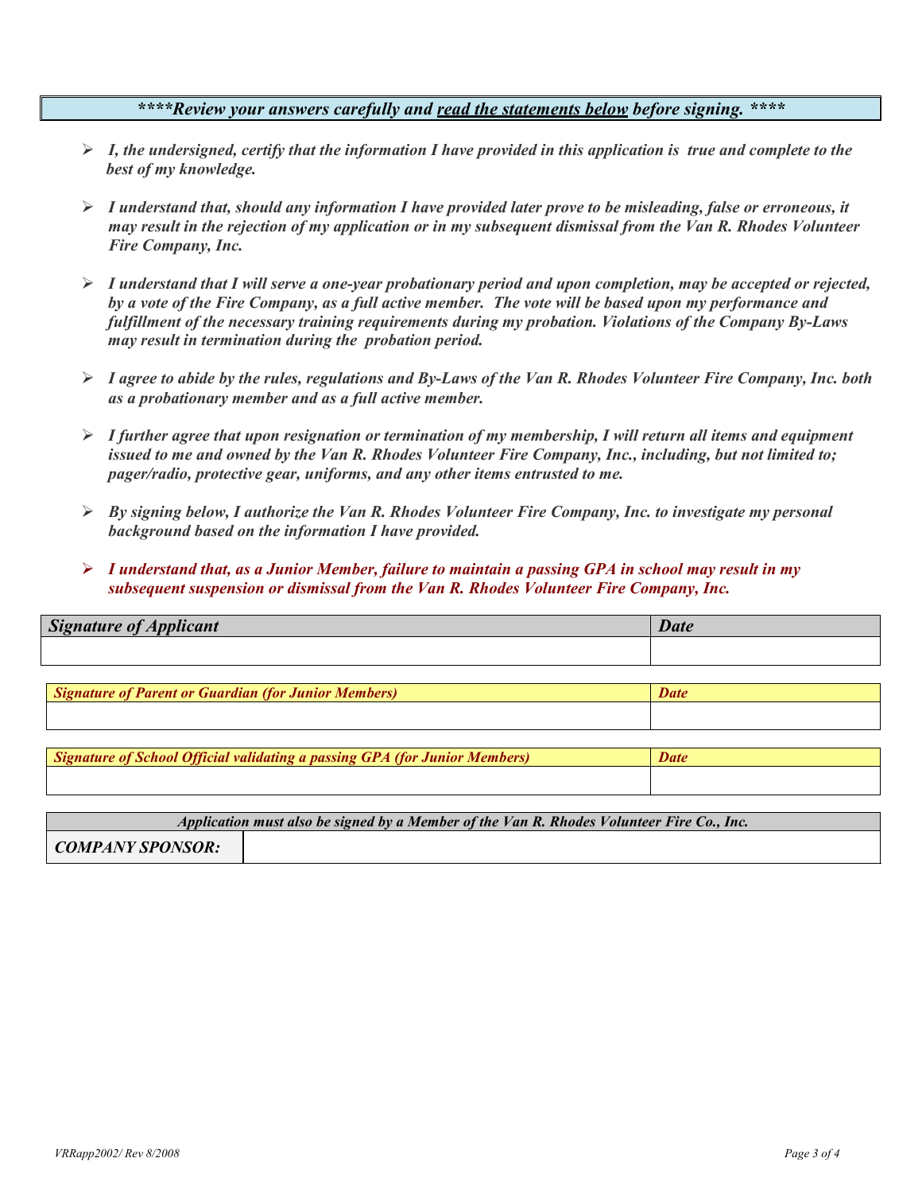## *\*\*\*\*Review your answers carefully and read the statements below before signing. \*\*\*\**

- *I, the undersigned, certify that the information I have provided in this application is true and complete to the best of my knowledge.*
- *I understand that, should any information I have provided later prove to be misleading, false or erroneous, it may result in the rejection of my application or in my subsequent dismissal from the Van R. Rhodes Volunteer Fire Company, Inc.*
- *I understand that I will serve a one-year probationary period and upon completion, may be accepted or rejected, by a vote of the Fire Company, as a full active member. The vote will be based upon my performance and fulfillment of the necessary training requirements during my probation. Violations of the Company By-Laws may result in termination during the probation period.*
- *I agree to abide by the rules, regulations and By-Laws of the Van R. Rhodes Volunteer Fire Company, Inc. both as a probationary member and as a full active member.*
- *I further agree that upon resignation or termination of my membership, I will return all items and equipment issued to me and owned by the Van R. Rhodes Volunteer Fire Company, Inc., including, but not limited to; pager/radio, protective gear, uniforms, and any other items entrusted to me.*
- *By signing below, I authorize the Van R. Rhodes Volunteer Fire Company, Inc. to investigate my personal background based on the information I have provided.*
- *I understand that, as a Junior Member, failure to maintain a passing GPA in school may result in my subsequent suspension or dismissal from the Van R. Rhodes Volunteer Fire Company, Inc.*

| <b>Signature of Applicant</b>                        | <b>Date</b> |
|------------------------------------------------------|-------------|
|                                                      |             |
|                                                      |             |
| Signature of Parent or Guardian (for Junior Members) | Date        |
|                                                      |             |

*Signature of School Official validating a passing GPA (for Junior Members) Date* 

| Application must also be signed by a Member of the Van R. Rhodes Volunteer Fire Co., Inc. |  |  |  |  |
|-------------------------------------------------------------------------------------------|--|--|--|--|
| COMPANY SPONSOR:                                                                          |  |  |  |  |